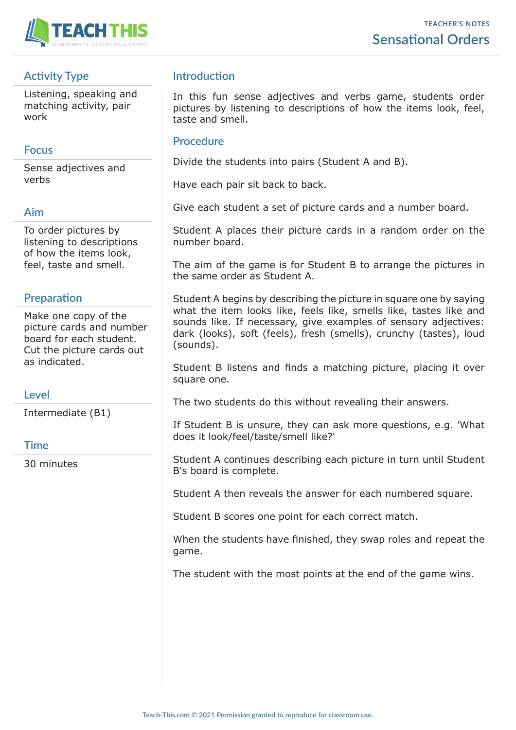

# **Activity Type**

Listening, speaking and matching activity, pair work

## **Focus**

Sense adjectives and verbs

## **Aim**

To order pictures by listening to descriptions of how the items look, feel, taste and smell.

### **Preparation**

Make one copy of the picture cards and number board for each student. Cut the picture cards out as indicated.

## **Level**

Intermediate (B1)

#### **Time**

30 minutes

## **Introduction**

In this fun sense adjectives and verbs game, students order pictures by listening to descriptions of how the items look, feel, taste and smell.

#### **Procedure**

Divide the students into pairs (Student A and B).

Have each pair sit back to back.

Give each student a set of picture cards and a number board.

Student A places their picture cards in a random order on the number board.

The aim of the game is for Student B to arrange the pictures in the same order as Student A.

Student A begins by describing the picture in square one by saying what the item looks like, feels like, smells like, tastes like and sounds like. If necessary, give examples of sensory adjectives: dark (looks), soft (feels), fresh (smells), crunchy (tastes), loud (sounds).

Student B listens and finds a matching picture, placing it over square one.

The two students do this without revealing their answers.

If Student B is unsure, they can ask more questions, e.g. 'What does it look/feel/taste/smell like?'

Student A continues describing each picture in turn until Student B's board is complete.

Student A then reveals the answer for each numbered square.

Student B scores one point for each correct match.

When the students have finished, they swap roles and repeat the game.

The student with the most points at the end of the game wins.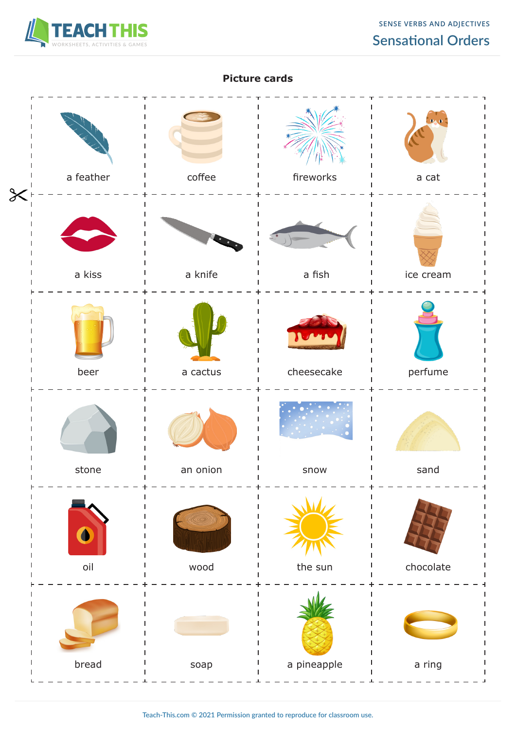

#### **Picture cards**